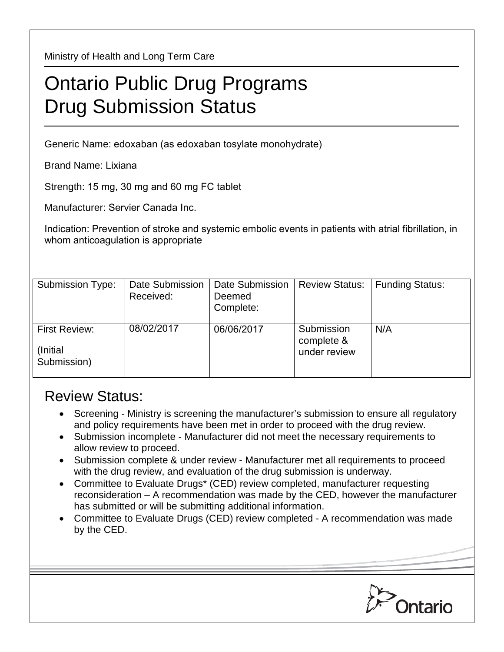Ministry of Health and Long Term Care

## Ontario Public Drug Programs Drug Submission Status

Generic Name: edoxaban (as edoxaban tosylate monohydrate)

Brand Name: Lixiana

Strength: 15 mg, 30 mg and 60 mg FC tablet

Manufacturer: Servier Canada Inc.

Indication: Prevention of stroke and systemic embolic events in patients with atrial fibrillation, in whom anticoagulation is appropriate

| Submission Type:                                 | Date Submission<br>Received: | Date Submission<br>Deemed<br>Complete: | <b>Review Status:</b>                    | <b>Funding Status:</b> |
|--------------------------------------------------|------------------------------|----------------------------------------|------------------------------------------|------------------------|
| <b>First Review:</b><br>(Initial)<br>Submission) | 08/02/2017                   | 06/06/2017                             | Submission<br>complete &<br>under review | N/A                    |

## Review Status:

- Screening Ministry is screening the manufacturer's submission to ensure all regulatory and policy requirements have been met in order to proceed with the drug review.
- Submission incomplete Manufacturer did not meet the necessary requirements to allow review to proceed.
- Submission complete & under review Manufacturer met all requirements to proceed with the drug review, and evaluation of the drug submission is underway.
- Committee to Evaluate Drugs\* (CED) review completed, manufacturer requesting reconsideration – A recommendation was made by the CED, however the manufacturer has submitted or will be submitting additional information.
- Committee to Evaluate Drugs (CED) review completed A recommendation was made by the CED.